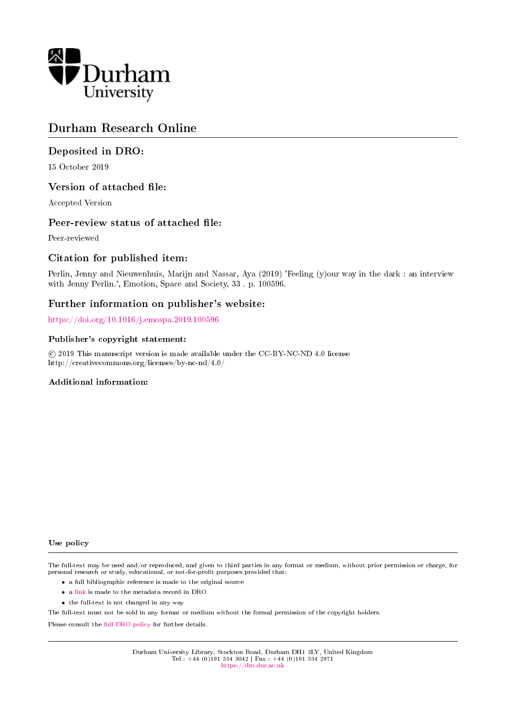

# Durham Research Online

## Deposited in DRO:

15 October 2019

### Version of attached file:

Accepted Version

### Peer-review status of attached file:

Peer-reviewed

### Citation for published item:

Perlin, Jenny and Nieuwenhuis, Marijn and Nassar, Aya (2019) 'Feeling (y)our way in the dark : an interview with Jenny Perlin.', Emotion, Space and Society, 33 . p. 100596.

## Further information on publisher's website:

<https://doi.org/10.1016/j.emospa.2019.100596>

#### Publisher's copyright statement:

 c 2019 This manuscript version is made available under the CC-BY-NC-ND 4.0 license http://creativecommons.org/licenses/by-nc-nd/4.0/

### Additional information:

Use policy

The full-text may be used and/or reproduced, and given to third parties in any format or medium, without prior permission or charge, for personal research or study, educational, or not-for-profit purposes provided that:

- a full bibliographic reference is made to the original source
- a [link](http://dro.dur.ac.uk/29325/) is made to the metadata record in DRO
- the full-text is not changed in any way

The full-text must not be sold in any format or medium without the formal permission of the copyright holders.

Please consult the [full DRO policy](https://dro.dur.ac.uk/policies/usepolicy.pdf) for further details.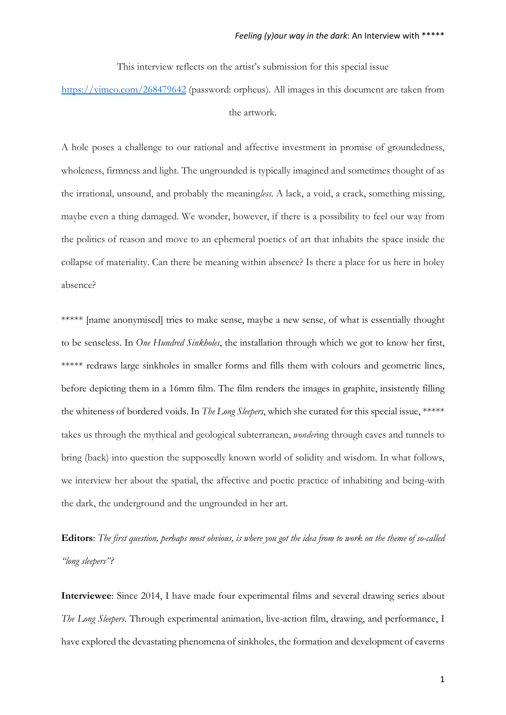This interview reflects on the artist's submission for this special issue

<https://vimeo.com/268479642> (password: orpheus). All images in this document are taken from the artwork.

A hole poses a challenge to our rational and affective investment in promise of groundedness, wholeness, firmness and light. The ungrounded is typically imagined and sometimes thought of as the irrational, unsound, and probably the meaning*less*. A lack, a void, a crack, something missing, maybe even a thing damaged. We wonder, however, if there is a possibility to feel our way from the politics of reason and move to an ephemeral poetics of art that inhabits the space inside the collapse of materiality. Can there be meaning within absence? Is there a place for us here in holey absence?

\*\*\*\*\* [name anonymised] tries to make sense, maybe a new sense, of what is essentially thought to be senseless. In *One Hundred Sinkholes*, the installation through which we got to know her first, \*\*\*\*\* redraws large sinkholes in smaller forms and fills them with colours and geometric lines, before depicting them in a 16mm film. The film renders the images in graphite, insistently filling the whiteness of bordered voids. In *The Long Sleepers*, which she curated for this special issue, \*\*\*\*\* takes us through the mythical and geological subterranean, *wonder*ing through caves and tunnels to bring (back) into question the supposedly known world of solidity and wisdom. In what follows, we interview her about the spatial, the affective and poetic practice of inhabiting and being-with the dark, the underground and the ungrounded in her art.

**Editors**: The first question, perhaps most obvious, is where you got the idea from to work on the theme of so-called *"long sleepers"?*

**Interviewee**: Since 2014, I have made four experimental films and several drawing series about *The Long Sleepers*. Through experimental animation, live-action film, drawing, and performance, I have explored the devastating phenomena of sinkholes, the formation and development of caverns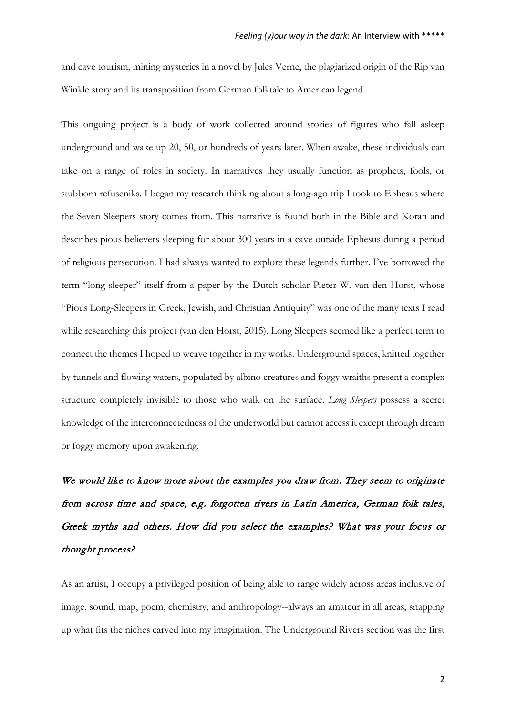and cave tourism, mining mysteries in a novel by Jules Verne, the plagiarized origin of the Rip van Winkle story and its transposition from German folktale to American legend.

This ongoing project is a body of work collected around stories of figures who fall asleep underground and wake up 20, 50, or hundreds of years later. When awake, these individuals can take on a range of roles in society. In narratives they usually function as prophets, fools, or stubborn refuseniks. I began my research thinking about a long-ago trip I took to Ephesus where the Seven Sleepers story comes from. This narrative is found both in the Bible and Koran and describes pious believers sleeping for about 300 years in a cave outside Ephesus during a period of religious persecution. I had always wanted to explore these legends further. I've borrowed the term "long sleeper" itself from a paper by the Dutch scholar Pieter W. van den Horst, whose "Pious Long-Sleepers in Greek, Jewish, and Christian Antiquity" was one of the many texts I read while researching this project (van den Horst, 2015). Long Sleepers seemed like a perfect term to connect the themes I hoped to weave together in my works. Underground spaces, knitted together by tunnels and flowing waters, populated by albino creatures and foggy wraiths present a complex structure completely invisible to those who walk on the surface. *Long Sleepers* possess a secret knowledge of the interconnectedness of the underworld but cannot access it except through dream or foggy memory upon awakening.

# We would like to know more about the examples you draw from. They seem to originate from across time and space, e.g. forgotten rivers in Latin America, German folk tales, Greek myths and others. How did you select the examples? What was your focus or thought process?

As an artist, I occupy a privileged position of being able to range widely across areas inclusive of image, sound, map, poem, chemistry, and anthropology--always an amateur in all areas, snapping up what fits the niches carved into my imagination. The Underground Rivers section was the first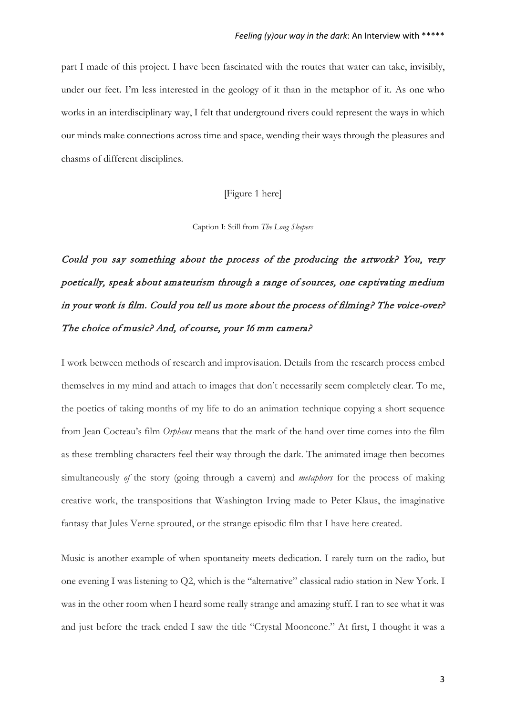part I made of this project. I have been fascinated with the routes that water can take, invisibly, under our feet. I'm less interested in the geology of it than in the metaphor of it. As one who works in an interdisciplinary way, I felt that underground rivers could represent the ways in which our minds make connections across time and space, wending their ways through the pleasures and chasms of different disciplines.

### [Figure 1 here]

Caption I: Still from *The Long Sleepers*

Could you say something about the process of the producing the artwork? You, very poetically, speak about amateurism through a range of sources, one captivating medium in your work is film. Could you tell us more about the process of filming? The voice-over? The choice of music? And, of course, your 16 mm camera?

I work between methods of research and improvisation. Details from the research process embed themselves in my mind and attach to images that don't necessarily seem completely clear. To me, the poetics of taking months of my life to do an animation technique copying a short sequence from Jean Cocteau's film *Orpheus* means that the mark of the hand over time comes into the film as these trembling characters feel their way through the dark. The animated image then becomes simultaneously *of* the story (going through a cavern) and *metaphors* for the process of making creative work, the transpositions that Washington Irving made to Peter Klaus, the imaginative fantasy that Jules Verne sprouted, or the strange episodic film that I have here created.

Music is another example of when spontaneity meets dedication. I rarely turn on the radio, but one evening I was listening to Q2, which is the "alternative" classical radio station in New York. I was in the other room when I heard some really strange and amazing stuff. I ran to see what it was and just before the track ended I saw the title "Crystal Mooncone." At first, I thought it was a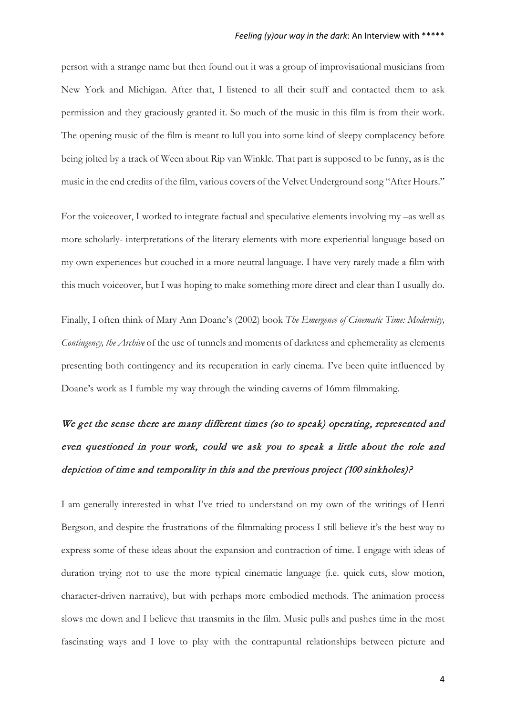person with a strange name but then found out it was a group of improvisational musicians from New York and Michigan. After that, I listened to all their stuff and contacted them to ask permission and they graciously granted it. So much of the music in this film is from their work. The opening music of the film is meant to lull you into some kind of sleepy complacency before being jolted by a track of Ween about Rip van Winkle. That part is supposed to be funny, as is the music in the end credits of the film, various covers of the Velvet Underground song "After Hours."

For the voiceover, I worked to integrate factual and speculative elements involving my –as well as more scholarly- interpretations of the literary elements with more experiential language based on my own experiences but couched in a more neutral language. I have very rarely made a film with this much voiceover, but I was hoping to make something more direct and clear than I usually do.

Finally, I often think of Mary Ann Doane's (2002) book *The Emergence of Cinematic Time: Modernity, Contingency, the Archive* of the use of tunnels and moments of darkness and ephemerality as elements presenting both contingency and its recuperation in early cinema. I've been quite influenced by Doane's work as I fumble my way through the winding caverns of 16mm filmmaking.

# We get the sense there are many different times (so to speak) operating, represented and even questioned in your work, could we ask you to speak a little about the role and depiction of time and temporality in this and the previous project (100 sinkholes)?

I am generally interested in what I've tried to understand on my own of the writings of Henri Bergson, and despite the frustrations of the filmmaking process I still believe it's the best way to express some of these ideas about the expansion and contraction of time. I engage with ideas of duration trying not to use the more typical cinematic language (i.e. quick cuts, slow motion, character-driven narrative), but with perhaps more embodied methods. The animation process slows me down and I believe that transmits in the film. Music pulls and pushes time in the most fascinating ways and I love to play with the contrapuntal relationships between picture and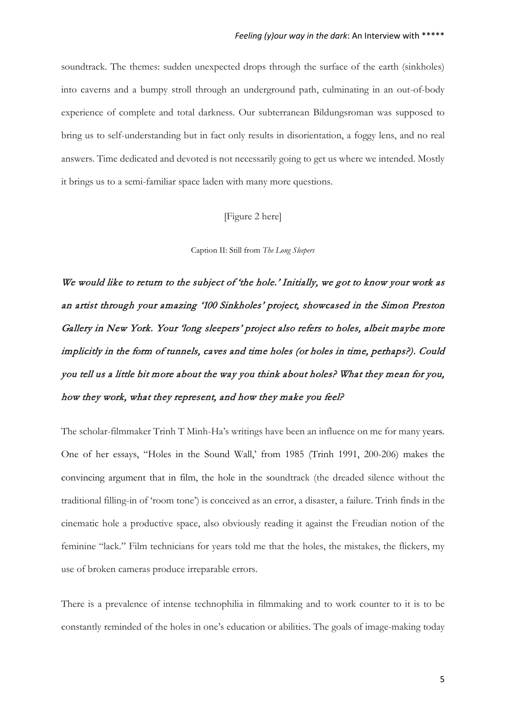soundtrack. The themes: sudden unexpected drops through the surface of the earth (sinkholes) into caverns and a bumpy stroll through an underground path, culminating in an out-of-body experience of complete and total darkness. Our subterranean Bildungsroman was supposed to bring us to self-understanding but in fact only results in disorientation, a foggy lens, and no real answers. Time dedicated and devoted is not necessarily going to get us where we intended. Mostly it brings us to a semi-familiar space laden with many more questions.

[Figure 2 here]

Caption II: Still from *The Long Sleepers*

We would like to return to the subject of 'the hole.' Initially, we got to know your work as an artist through your amazing '100 Sinkholes' project, showcased in the Simon Preston Gallery in New York. Your 'long sleepers' project also refers to holes, albeit maybe more implicitly in the form of tunnels, caves and time holes (or holes in time, perhaps?). Could you tell us a little bit more about the way you think about holes? What they mean for you, how they work, what they represent, and how they make you feel?

The scholar-filmmaker Trinh T Minh-Ha's writings have been an influence on me for many years. One of her essays, "Holes in the Sound Wall,' from 1985 (Trinh 1991, 200-206) makes the convincing argument that in film, the hole in the soundtrack (the dreaded silence without the traditional filling-in of 'room tone') is conceived as an error, a disaster, a failure. Trinh finds in the cinematic hole a productive space, also obviously reading it against the Freudian notion of the feminine "lack." Film technicians for years told me that the holes, the mistakes, the flickers, my use of broken cameras produce irreparable errors.

There is a prevalence of intense technophilia in filmmaking and to work counter to it is to be constantly reminded of the holes in one's education or abilities. The goals of image-making today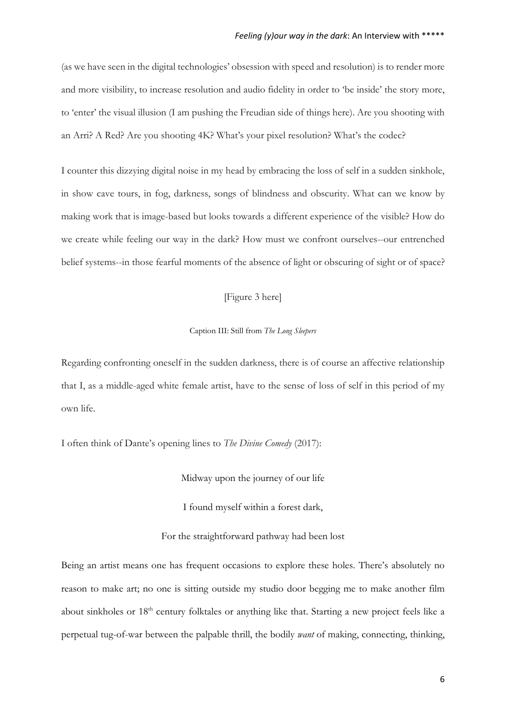(as we have seen in the digital technologies' obsession with speed and resolution) is to render more and more visibility, to increase resolution and audio fidelity in order to 'be inside' the story more, to 'enter' the visual illusion (I am pushing the Freudian side of things here). Are you shooting with an Arri? A Red? Are you shooting 4K? What's your pixel resolution? What's the codec?

I counter this dizzying digital noise in my head by embracing the loss of self in a sudden sinkhole, in show cave tours, in fog, darkness, songs of blindness and obscurity. What can we know by making work that is image-based but looks towards a different experience of the visible? How do we create while feeling our way in the dark? How must we confront ourselves--our entrenched belief systems--in those fearful moments of the absence of light or obscuring of sight or of space?

#### [Figure 3 here]

#### Caption III: Still from *The Long Sleepers*

Regarding confronting oneself in the sudden darkness, there is of course an affective relationship that I, as a middle-aged white female artist, have to the sense of loss of self in this period of my own life.

I often think of Dante's opening lines to *The Divine Comedy* (2017):

Midway upon the journey of our life

I found myself within a forest dark,

For the straightforward pathway had been lost

Being an artist means one has frequent occasions to explore these holes. There's absolutely no reason to make art; no one is sitting outside my studio door begging me to make another film about sinkholes or 18<sup>th</sup> century folktales or anything like that. Starting a new project feels like a perpetual tug-of-war between the palpable thrill, the bodily *want* of making, connecting, thinking,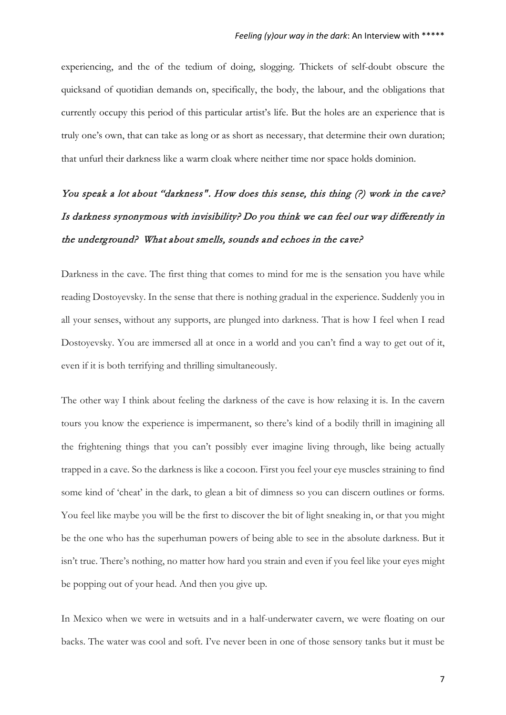experiencing, and the of the tedium of doing, slogging. Thickets of self-doubt obscure the quicksand of quotidian demands on, specifically, the body, the labour, and the obligations that currently occupy this period of this particular artist's life. But the holes are an experience that is truly one's own, that can take as long or as short as necessary, that determine their own duration; that unfurl their darkness like a warm cloak where neither time nor space holds dominion.

# You speak a lot about "darkness". How does this sense, this thing (?) work in the cave? Is darkness synonymous with invisibility? Do you think we can feel our way differently in the underground? What about smells, sounds and echoes in the cave?

Darkness in the cave. The first thing that comes to mind for me is the sensation you have while reading Dostoyevsky. In the sense that there is nothing gradual in the experience. Suddenly you in all your senses, without any supports, are plunged into darkness. That is how I feel when I read Dostoyevsky. You are immersed all at once in a world and you can't find a way to get out of it, even if it is both terrifying and thrilling simultaneously.

The other way I think about feeling the darkness of the cave is how relaxing it is. In the cavern tours you know the experience is impermanent, so there's kind of a bodily thrill in imagining all the frightening things that you can't possibly ever imagine living through, like being actually trapped in a cave. So the darkness is like a cocoon. First you feel your eye muscles straining to find some kind of 'cheat' in the dark, to glean a bit of dimness so you can discern outlines or forms. You feel like maybe you will be the first to discover the bit of light sneaking in, or that you might be the one who has the superhuman powers of being able to see in the absolute darkness. But it isn't true. There's nothing, no matter how hard you strain and even if you feel like your eyes might be popping out of your head. And then you give up.

In Mexico when we were in wetsuits and in a half-underwater cavern, we were floating on our backs. The water was cool and soft. I've never been in one of those sensory tanks but it must be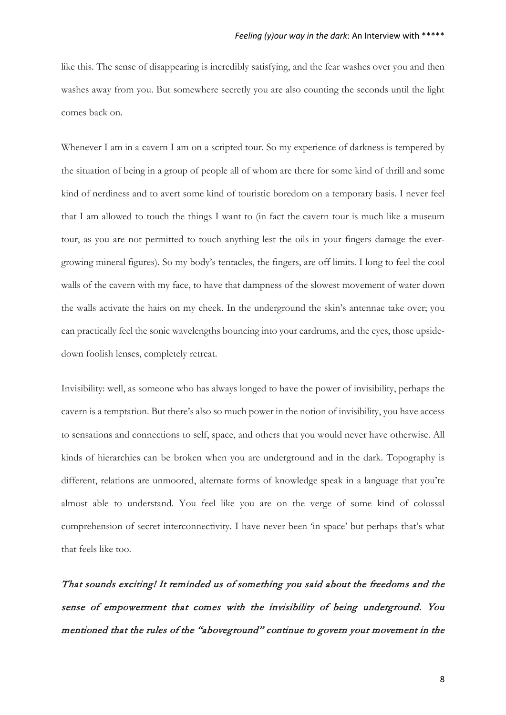like this. The sense of disappearing is incredibly satisfying, and the fear washes over you and then washes away from you. But somewhere secretly you are also counting the seconds until the light comes back on.

Whenever I am in a cavern I am on a scripted tour. So my experience of darkness is tempered by the situation of being in a group of people all of whom are there for some kind of thrill and some kind of nerdiness and to avert some kind of touristic boredom on a temporary basis. I never feel that I am allowed to touch the things I want to (in fact the cavern tour is much like a museum tour, as you are not permitted to touch anything lest the oils in your fingers damage the evergrowing mineral figures). So my body's tentacles, the fingers, are off limits. I long to feel the cool walls of the cavern with my face, to have that dampness of the slowest movement of water down the walls activate the hairs on my cheek. In the underground the skin's antennae take over; you can practically feel the sonic wavelengths bouncing into your eardrums, and the eyes, those upsidedown foolish lenses, completely retreat.

Invisibility: well, as someone who has always longed to have the power of invisibility, perhaps the cavern is a temptation. But there's also so much power in the notion of invisibility, you have access to sensations and connections to self, space, and others that you would never have otherwise. All kinds of hierarchies can be broken when you are underground and in the dark. Topography is different, relations are unmoored, alternate forms of knowledge speak in a language that you're almost able to understand. You feel like you are on the verge of some kind of colossal comprehension of secret interconnectivity. I have never been 'in space' but perhaps that's what that feels like too.

That sounds exciting! It reminded us of something you said about the freedoms and the sense of empowerment that comes with the invisibility of being underground. You mentioned that the rules of the "aboveground" continue to govern your movement in the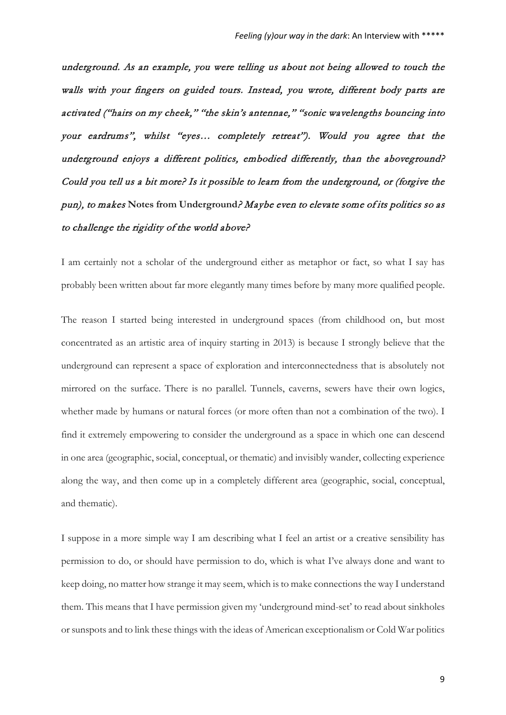underground. As an example, you were telling us about not being allowed to touch the walls with your fingers on guided tours. Instead, you wrote, different body parts are activated ("hairs on my cheek," "the skin's antennae," "sonic wavelengths bouncing into your eardrums", whilst "eyes… completely retreat"). Would you agree that the underground enjoys a different politics, embodied differently, than the aboveground? Could you tell us a bit more? Is it possible to learn from the underground, or (forgive the pun), to makes **Notes from Underground**? Maybe even to elevate some of its politics so as to challenge the rigidity of the world above?

I am certainly not a scholar of the underground either as metaphor or fact, so what I say has probably been written about far more elegantly many times before by many more qualified people.

The reason I started being interested in underground spaces (from childhood on, but most concentrated as an artistic area of inquiry starting in 2013) is because I strongly believe that the underground can represent a space of exploration and interconnectedness that is absolutely not mirrored on the surface. There is no parallel. Tunnels, caverns, sewers have their own logics, whether made by humans or natural forces (or more often than not a combination of the two). I find it extremely empowering to consider the underground as a space in which one can descend in one area (geographic, social, conceptual, or thematic) and invisibly wander, collecting experience along the way, and then come up in a completely different area (geographic, social, conceptual, and thematic).

I suppose in a more simple way I am describing what I feel an artist or a creative sensibility has permission to do, or should have permission to do, which is what I've always done and want to keep doing, no matter how strange it may seem, which is to make connections the way I understand them. This means that I have permission given my 'underground mind-set' to read about sinkholes or sunspots and to link these things with the ideas of American exceptionalism or Cold War politics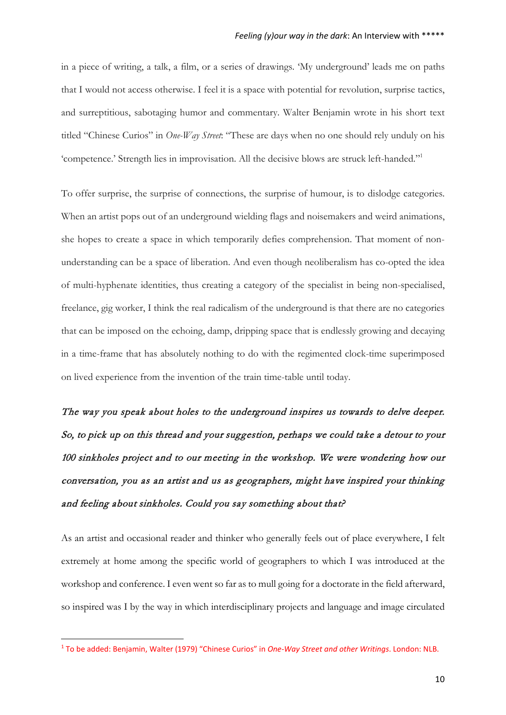in a piece of writing, a talk, a film, or a series of drawings. 'My underground' leads me on paths that I would not access otherwise. I feel it is a space with potential for revolution, surprise tactics, and surreptitious, sabotaging humor and commentary. Walter Benjamin wrote in his short text titled "Chinese Curios" in *One-Way Street*: "These are days when no one should rely unduly on his 'competence.' Strength lies in improvisation. All the decisive blows are struck left-handed."1

To offer surprise, the surprise of connections, the surprise of humour, is to dislodge categories. When an artist pops out of an underground wielding flags and noisemakers and weird animations, she hopes to create a space in which temporarily defies comprehension. That moment of nonunderstanding can be a space of liberation. And even though neoliberalism has co-opted the idea of multi-hyphenate identities, thus creating a category of the specialist in being non-specialised, freelance, gig worker, I think the real radicalism of the underground is that there are no categories that can be imposed on the echoing, damp, dripping space that is endlessly growing and decaying in a time-frame that has absolutely nothing to do with the regimented clock-time superimposed on lived experience from the invention of the train time-table until today.

# The way you speak about holes to the underground inspires us towards to delve deeper. So, to pick up on this thread and your suggestion, perhaps we could take a detour to your 100 sinkholes project and to our meeting in the workshop. We were wondering how our conversation, you as an artist and us as geographers, might have inspired your thinking and feeling about sinkholes. Could you say something about that?

As an artist and occasional reader and thinker who generally feels out of place everywhere, I felt extremely at home among the specific world of geographers to which I was introduced at the workshop and conference. I even went so far as to mull going for a doctorate in the field afterward, so inspired was I by the way in which interdisciplinary projects and language and image circulated

 <sup>1</sup> To be added: Benjamin, Walter (1979) "Chinese Curios" in *One-Way Street and other Writings*. London: NLB.